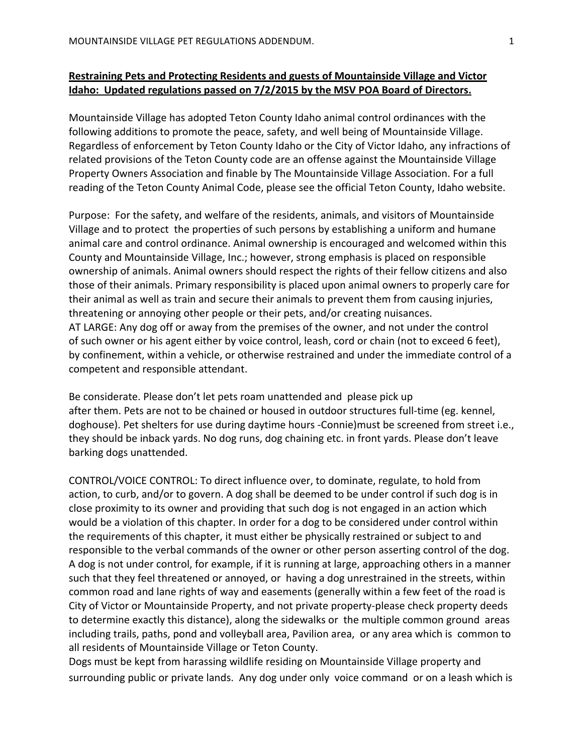# **Restraining Pets and Protecting Residents and guests of Mountainside Village and Victor Idaho:** Updated regulations passed on 7/2/2015 by the MSV POA Board of Directors.

Mountainside Village has adopted Teton County Idaho animal control ordinances with the following additions to promote the peace, safety, and well being of Mountainside Village. Regardless of enforcement by Teton County Idaho or the City of Victor Idaho, any infractions of related provisions of the Teton County code are an offense against the Mountainside Village Property Owners Association and finable by The Mountainside Village Association. For a full reading of the Teton County Animal Code, please see the official Teton County, Idaho website.

Purpose: For the safety, and welfare of the residents, animals, and visitors of Mountainside Village and to protect the properties of such persons by establishing a uniform and humane animal care and control ordinance. Animal ownership is encouraged and welcomed within this County and Mountainside Village, Inc.; however, strong emphasis is placed on responsible ownership of animals. Animal owners should respect the rights of their fellow citizens and also those of their animals. Primary responsibility is placed upon animal owners to properly care for their animal as well as train and secure their animals to prevent them from causing injuries, threatening or annoying other people or their pets, and/or creating nuisances. AT LARGE: Any dog off or away from the premises of the owner, and not under the control of such owner or his agent either by voice control, leash, cord or chain (not to exceed 6 feet), by confinement, within a vehicle, or otherwise restrained and under the immediate control of a competent and responsible attendant.

Be considerate. Please don't let pets roam unattended and please pick up after them. Pets are not to be chained or housed in outdoor structures full-time (eg. kennel, doghouse). Pet shelters for use during daytime hours -Connie)must be screened from street i.e., they should be inback yards. No dog runs, dog chaining etc. in front yards. Please don't leave barking dogs unattended.

CONTROL/VOICE CONTROL: To direct influence over, to dominate, regulate, to hold from action, to curb, and/or to govern. A dog shall be deemed to be under control if such dog is in close proximity to its owner and providing that such dog is not engaged in an action which would be a violation of this chapter. In order for a dog to be considered under control within the requirements of this chapter, it must either be physically restrained or subject to and responsible to the verbal commands of the owner or other person asserting control of the dog. A dog is not under control, for example, if it is running at large, approaching others in a manner such that they feel threatened or annoyed, or having a dog unrestrained in the streets, within common road and lane rights of way and easements (generally within a few feet of the road is City of Victor or Mountainside Property, and not private property-please check property deeds to determine exactly this distance), along the sidewalks or the multiple common ground areas including trails, paths, pond and volleyball area, Pavilion area, or any area which is common to all residents of Mountainside Village or Teton County.

Dogs must be kept from harassing wildlife residing on Mountainside Village property and surrounding public or private lands. Any dog under only voice command or on a leash which is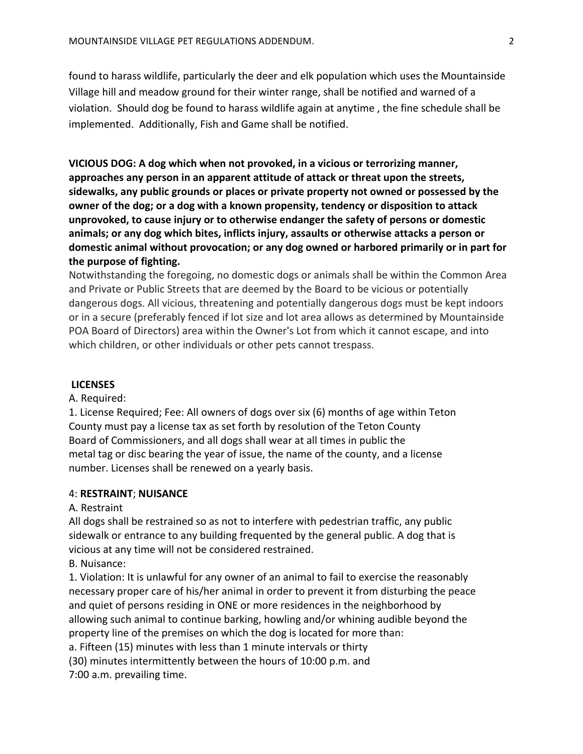found to harass wildlife, particularly the deer and elk population which uses the Mountainside Village hill and meadow ground for their winter range, shall be notified and warned of a violation. Should dog be found to harass wildlife again at anytime, the fine schedule shall be implemented. Additionally, Fish and Game shall be notified.

**VICIOUS** DOG: A dog which when not provoked, in a vicious or terrorizing manner, approaches any person in an apparent attitude of attack or threat upon the streets, sidewalks, any public grounds or places or private property not owned or possessed by the **owner of the dog; or a dog with a known propensity, tendency or disposition to attack** unprovoked, to cause injury or to otherwise endanger the safety of persons or domestic animals; or any dog which bites, inflicts injury, assaults or otherwise attacks a person or domestic animal without provocation; or any dog owned or harbored primarily or in part for the purpose of fighting.

Notwithstanding the foregoing, no domestic dogs or animals shall be within the Common Area and Private or Public Streets that are deemed by the Board to be vicious or potentially dangerous dogs. All vicious, threatening and potentially dangerous dogs must be kept indoors or in a secure (preferably fenced if lot size and lot area allows as determined by Mountainside POA Board of Directors) area within the Owner's Lot from which it cannot escape, and into which children, or other individuals or other pets cannot trespass.

### **LICENSES**

A. Required:

1. License Required; Fee: All owners of dogs over six (6) months of age within Teton County must pay a license tax as set forth by resolution of the Teton County Board of Commissioners, and all dogs shall wear at all times in public the metal tag or disc bearing the year of issue, the name of the county, and a license number. Licenses shall be renewed on a yearly basis.

### 4: **RESTRAINT**; **NUISANCE**

## A. Restraint

All dogs shall be restrained so as not to interfere with pedestrian traffic, any public sidewalk or entrance to any building frequented by the general public. A dog that is vicious at any time will not be considered restrained.

B. Nuisance:

1. Violation: It is unlawful for any owner of an animal to fail to exercise the reasonably necessary proper care of his/her animal in order to prevent it from disturbing the peace and quiet of persons residing in ONE or more residences in the neighborhood by allowing such animal to continue barking, howling and/or whining audible beyond the property line of the premises on which the dog is located for more than: a. Fifteen (15) minutes with less than 1 minute intervals or thirty (30) minutes intermittently between the hours of 10:00 p.m. and

7:00 a.m. prevailing time.